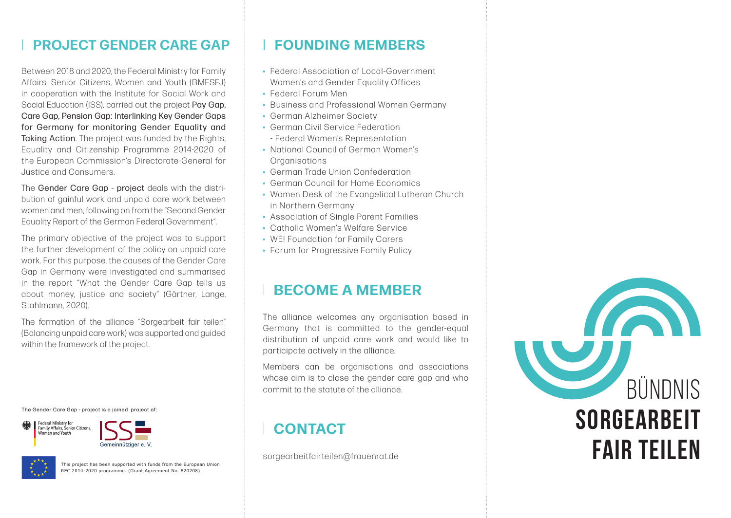### **PROJECT GENDER CARE GAP FOUNDING MEMBERS**

Between 2018 and 2020, the Federal Ministry for Family Affairs, Senior Citizens, Women and Youth (BMFSFJ) in cooperation with the Institute for Social Work and Social Education (ISS), carried out the project Pay Gap, Care Gap, Pension Gap: Interlinking Key Gender Gaps for Germany for monitoring Gender Equality and Taking Action. The project was funded by the Rights, Equality and Citizenship Programme 2014-2020 of the European Commission's Directorate-General for Justice and Consumers.

The Gender Care Gap - project deals with the distribution of gainful work and unpaid care work between women and men, following on from the "Second Gender Equality Report of the German Federal Government".

The primary objective of the project was to support the further development of the policy on unpaid care work. For this purpose, the causes of the Gender Care Gap in Germany were investigated and summarised in the report "What the Gender Care Gap tells us about money, justice and society" (Gärtner, Lange, Stahlmann, 2020).

The formation of the alliance "Sorgearbeit fair teilen" (Balancing unpaid care work) was supported and guided within the framework of the project.

The Gender Care Gap - project is a joined project of:







This project has been supported with funds from the European Union REC 2014-2020 programme. (Grant Agreement No. 820208)

- Federal Association of Local-Government Women's and Gender Equality Offices
- Federal Forum Men
- Business and Professional Women Germany
- German Alzheimer Society
- German Civil Service Federation - Federal Women's Representation
- National Council of German Women's **Organisations**
- German Trade Union Confederation
- German Council for Home Economics
- Women Desk of the Evangelical Lutheran Church in Northern Germany
- Association of Single Parent Families
- Catholic Women's Welfare Service
- WE! Foundation for Family Carers
- Forum for Progressive Family Policy

### **BECOME A MEMBER**

The alliance welcomes any organisation based in Germany that is committed to the gender-equal distribution of unpaid care work and would like to participate actively in the alliance.

Members can be organisations and associations whose aim is to close the gender care gap and who commit to the statute of the alliance.

## **CONTACT**

sorgearbeitfairteilen@frauenrat.de